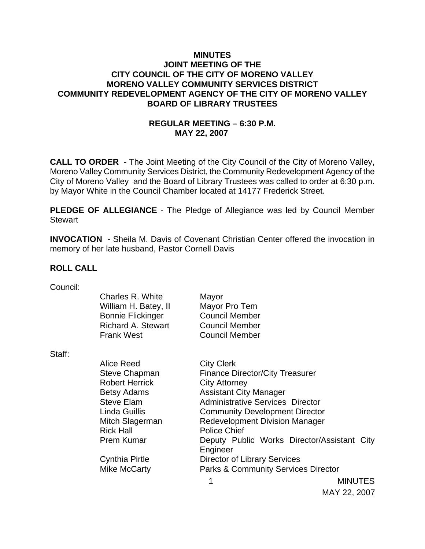### **MINUTES JOINT MEETING OF THE CITY COUNCIL OF THE CITY OF MORENO VALLEY MORENO VALLEY COMMUNITY SERVICES DISTRICT COMMUNITY REDEVELOPMENT AGENCY OF THE CITY OF MORENO VALLEY BOARD OF LIBRARY TRUSTEES**

## **REGULAR MEETING – 6:30 P.M. MAY 22, 2007**

**CALL TO ORDER** - The Joint Meeting of the City Council of the City of Moreno Valley, Moreno Valley Community Services District, the Community Redevelopment Agency of the City of Moreno Valley and the Board of Library Trustees was called to order at 6:30 p.m. by Mayor White in the Council Chamber located at 14177 Frederick Street.

**PLEDGE OF ALLEGIANCE** - The Pledge of Allegiance was led by Council Member Stewart

**INVOCATION** - Sheila M. Davis of Covenant Christian Center offered the invocation in memory of her late husband, Pastor Cornell Davis

### **ROLL CALL**

| Council: |                           |                                                |  |
|----------|---------------------------|------------------------------------------------|--|
|          | Charles R. White          | Mayor                                          |  |
|          | William H. Batey, II      | Mayor Pro Tem                                  |  |
|          | <b>Bonnie Flickinger</b>  | <b>Council Member</b>                          |  |
|          | <b>Richard A. Stewart</b> | <b>Council Member</b>                          |  |
|          | <b>Frank West</b>         | <b>Council Member</b>                          |  |
| Staff:   |                           |                                                |  |
|          | Alice Reed                | <b>City Clerk</b>                              |  |
|          | Steve Chapman             | <b>Finance Director/City Treasurer</b>         |  |
|          | <b>Robert Herrick</b>     | <b>City Attorney</b>                           |  |
|          | <b>Betsy Adams</b>        | <b>Assistant City Manager</b>                  |  |
|          | Steve Elam                | <b>Administrative Services Director</b>        |  |
|          | Linda Guillis             | <b>Community Development Director</b>          |  |
|          | Mitch Slagerman           | <b>Redevelopment Division Manager</b>          |  |
|          | <b>Rick Hall</b>          | <b>Police Chief</b>                            |  |
|          | <b>Prem Kumar</b>         | Deputy Public Works Director/Assistant City    |  |
|          |                           | Engineer                                       |  |
|          | Cynthia Pirtle            | <b>Director of Library Services</b>            |  |
|          | Mike McCarty              | <b>Parks &amp; Community Services Director</b> |  |
|          |                           | 1<br><b>MINUTES</b>                            |  |

MAY 22, 2007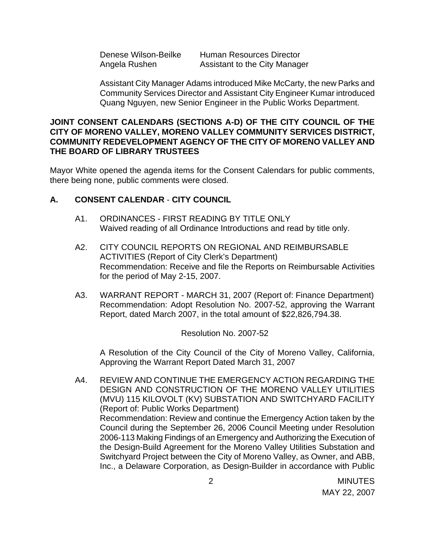Denese Wilson-Beilke Human Resources Director Angela Rushen Assistant to the City Manager

Assistant City Manager Adams introduced Mike McCarty, the new Parks and Community Services Director and Assistant City Engineer Kumar introduced Quang Nguyen, new Senior Engineer in the Public Works Department.

### **JOINT CONSENT CALENDARS (SECTIONS A-D) OF THE CITY COUNCIL OF THE CITY OF MORENO VALLEY, MORENO VALLEY COMMUNITY SERVICES DISTRICT, COMMUNITY REDEVELOPMENT AGENCY OF THE CITY OF MORENO VALLEY AND THE BOARD OF LIBRARY TRUSTEES**

Mayor White opened the agenda items for the Consent Calendars for public comments, there being none, public comments were closed.

## **A. CONSENT CALENDAR** - **CITY COUNCIL**

- A1. ORDINANCES FIRST READING BY TITLE ONLY Waived reading of all Ordinance Introductions and read by title only.
- A2. CITY COUNCIL REPORTS ON REGIONAL AND REIMBURSABLE ACTIVITIES (Report of City Clerk's Department) Recommendation: Receive and file the Reports on Reimbursable Activities for the period of May 2-15, 2007.
- A3. WARRANT REPORT MARCH 31, 2007 (Report of: Finance Department) Recommendation: Adopt Resolution No. 2007-52, approving the Warrant Report, dated March 2007, in the total amount of \$22,826,794.38.

### Resolution No. 2007-52

A Resolution of the City Council of the City of Moreno Valley, California, Approving the Warrant Report Dated March 31, 2007

A4. REVIEW AND CONTINUE THE EMERGENCY ACTION REGARDING THE DESIGN AND CONSTRUCTION OF THE MORENO VALLEY UTILITIES (MVU) 115 KILOVOLT (KV) SUBSTATION AND SWITCHYARD FACILITY (Report of: Public Works Department) Recommendation: Review and continue the Emergency Action taken by the Council during the September 26, 2006 Council Meeting under Resolution 2006-113 Making Findings of an Emergency and Authorizing the Execution of the Design-Build Agreement for the Moreno Valley Utilities Substation and Switchyard Project between the City of Moreno Valley, as Owner, and ABB, Inc., a Delaware Corporation, as Design-Builder in accordance with Public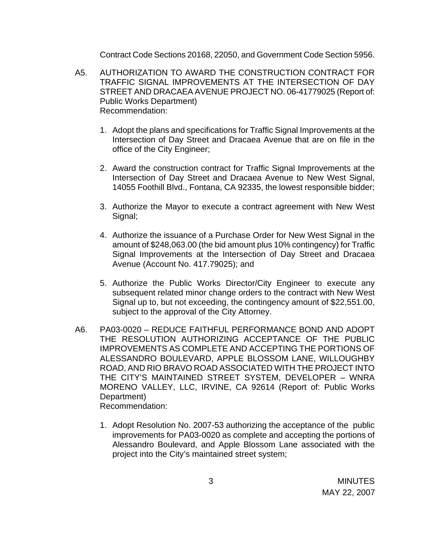Contract Code Sections 20168, 22050, and Government Code Section 5956.

- A5. AUTHORIZATION TO AWARD THE CONSTRUCTION CONTRACT FOR TRAFFIC SIGNAL IMPROVEMENTS AT THE INTERSECTION OF DAY STREET AND DRACAEA AVENUE PROJECT NO. 06-41779025 (Report of: Public Works Department) Recommendation:
	- 1. Adopt the plans and specifications for Traffic Signal Improvements at the Intersection of Day Street and Dracaea Avenue that are on file in the office of the City Engineer;
	- 2. Award the construction contract for Traffic Signal Improvements at the Intersection of Day Street and Dracaea Avenue to New West Signal, 14055 Foothill Blvd., Fontana, CA 92335, the lowest responsible bidder;
	- 3. Authorize the Mayor to execute a contract agreement with New West Signal;
	- 4. Authorize the issuance of a Purchase Order for New West Signal in the amount of \$248,063.00 (the bid amount plus 10% contingency) for Traffic Signal Improvements at the Intersection of Day Street and Dracaea Avenue (Account No. 417.79025); and
	- 5. Authorize the Public Works Director/City Engineer to execute any subsequent related minor change orders to the contract with New West Signal up to, but not exceeding, the contingency amount of \$22,551.00, subject to the approval of the City Attorney.
- A6. PA03-0020 REDUCE FAITHFUL PERFORMANCE BOND AND ADOPT THE RESOLUTION AUTHORIZING ACCEPTANCE OF THE PUBLIC IMPROVEMENTS AS COMPLETE AND ACCEPTING THE PORTIONS OF ALESSANDRO BOULEVARD, APPLE BLOSSOM LANE, WILLOUGHBY ROAD, AND RIO BRAVO ROAD ASSOCIATED WITH THE PROJECT INTO THE CITY'S MAINTAINED STREET SYSTEM, DEVELOPER – WNRA MORENO VALLEY, LLC, IRVINE, CA 92614 (Report of: Public Works Department) Recommendation:
	- 1. Adopt Resolution No. 2007-53 authorizing the acceptance of the public improvements for PA03-0020 as complete and accepting the portions of Alessandro Boulevard, and Apple Blossom Lane associated with the project into the City's maintained street system;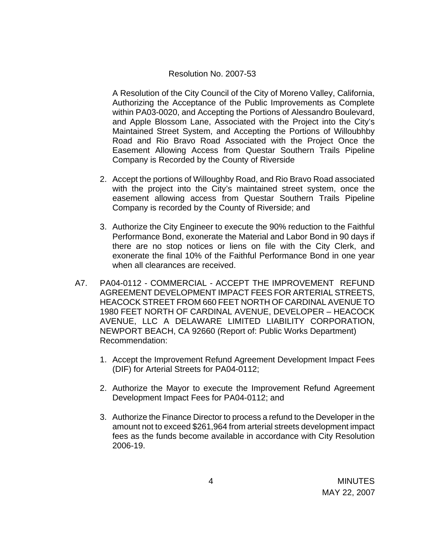### Resolution No. 2007-53

A Resolution of the City Council of the City of Moreno Valley, California, Authorizing the Acceptance of the Public Improvements as Complete within PA03-0020, and Accepting the Portions of Alessandro Boulevard, and Apple Blossom Lane, Associated with the Project into the City's Maintained Street System, and Accepting the Portions of Willoubhby Road and Rio Bravo Road Associated with the Project Once the Easement Allowing Access from Questar Southern Trails Pipeline Company is Recorded by the County of Riverside

- 2. Accept the portions of Willoughby Road, and Rio Bravo Road associated with the project into the City's maintained street system, once the easement allowing access from Questar Southern Trails Pipeline Company is recorded by the County of Riverside; and
- 3. Authorize the City Engineer to execute the 90% reduction to the Faithful Performance Bond, exonerate the Material and Labor Bond in 90 days if there are no stop notices or liens on file with the City Clerk, and exonerate the final 10% of the Faithful Performance Bond in one year when all clearances are received.
- A7. PA04-0112 COMMERCIAL ACCEPT THE IMPROVEMENT REFUND AGREEMENT DEVELOPMENT IMPACT FEES FOR ARTERIAL STREETS, HEACOCK STREET FROM 660 FEET NORTH OF CARDINAL AVENUE TO 1980 FEET NORTH OF CARDINAL AVENUE, DEVELOPER – HEACOCK AVENUE, LLC A DELAWARE LIMITED LIABILITY CORPORATION, NEWPORT BEACH, CA 92660 (Report of: Public Works Department) Recommendation:
	- 1. Accept the Improvement Refund Agreement Development Impact Fees (DIF) for Arterial Streets for PA04-0112;
	- 2. Authorize the Mayor to execute the Improvement Refund Agreement Development Impact Fees for PA04-0112; and
	- 3. Authorize the Finance Director to process a refund to the Developer in the amount not to exceed \$261,964 from arterial streets development impact fees as the funds become available in accordance with City Resolution 2006-19.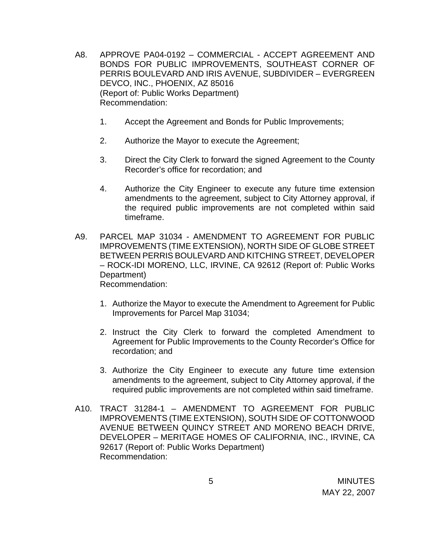- A8. APPROVE PA04-0192 COMMERCIAL ACCEPT AGREEMENT AND BONDS FOR PUBLIC IMPROVEMENTS, SOUTHEAST CORNER OF PERRIS BOULEVARD AND IRIS AVENUE, SUBDIVIDER – EVERGREEN DEVCO, INC., PHOENIX, AZ 85016 (Report of: Public Works Department) Recommendation:
	- 1. Accept the Agreement and Bonds for Public Improvements;
	- 2. Authorize the Mayor to execute the Agreement;
	- 3. Direct the City Clerk to forward the signed Agreement to the County Recorder's office for recordation; and
	- 4. Authorize the City Engineer to execute any future time extension amendments to the agreement, subject to City Attorney approval, if the required public improvements are not completed within said timeframe.
- A9. PARCEL MAP 31034 AMENDMENT TO AGREEMENT FOR PUBLIC IMPROVEMENTS (TIME EXTENSION), NORTH SIDE OF GLOBE STREET BETWEEN PERRIS BOULEVARD AND KITCHING STREET, DEVELOPER – ROCK-IDI MORENO, LLC, IRVINE, CA 92612 (Report of: Public Works Department) Recommendation:
	- 1. Authorize the Mayor to execute the Amendment to Agreement for Public Improvements for Parcel Map 31034;
	- 2. Instruct the City Clerk to forward the completed Amendment to Agreement for Public Improvements to the County Recorder's Office for recordation; and
	- 3. Authorize the City Engineer to execute any future time extension amendments to the agreement, subject to City Attorney approval, if the required public improvements are not completed within said timeframe.
- A10. TRACT 31284-1 AMENDMENT TO AGREEMENT FOR PUBLIC IMPROVEMENTS (TIME EXTENSION), SOUTH SIDE OF COTTONWOOD AVENUE BETWEEN QUINCY STREET AND MORENO BEACH DRIVE, DEVELOPER – MERITAGE HOMES OF CALIFORNIA, INC., IRVINE, CA 92617 (Report of: Public Works Department) Recommendation: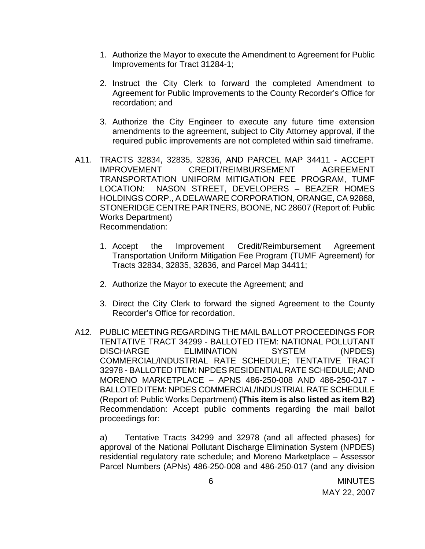- 1. Authorize the Mayor to execute the Amendment to Agreement for Public Improvements for Tract 31284-1;
- 2. Instruct the City Clerk to forward the completed Amendment to Agreement for Public Improvements to the County Recorder's Office for recordation; and
- 3. Authorize the City Engineer to execute any future time extension amendments to the agreement, subject to City Attorney approval, if the required public improvements are not completed within said timeframe.
- A11. TRACTS 32834, 32835, 32836, AND PARCEL MAP 34411 ACCEPT IMPROVEMENT CREDIT/REIMBURSEMENT AGREEMENT TRANSPORTATION UNIFORM MITIGATION FEE PROGRAM, TUMF LOCATION: NASON STREET, DEVELOPERS – BEAZER HOMES HOLDINGS CORP., A DELAWARE CORPORATION, ORANGE, CA 92868, STONERIDGE CENTRE PARTNERS, BOONE, NC 28607 (Report of: Public Works Department) Recommendation:
	- 1. Accept the Improvement Credit/Reimbursement Agreement Transportation Uniform Mitigation Fee Program (TUMF Agreement) for Tracts 32834, 32835, 32836, and Parcel Map 34411;
	- 2. Authorize the Mayor to execute the Agreement; and
	- 3. Direct the City Clerk to forward the signed Agreement to the County Recorder's Office for recordation.
- A12. PUBLIC MEETING REGARDING THE MAIL BALLOT PROCEEDINGS FOR TENTATIVE TRACT 34299 - BALLOTED ITEM: NATIONAL POLLUTANT DISCHARGE ELIMINATION SYSTEM (NPDES) COMMERCIAL/INDUSTRIAL RATE SCHEDULE; TENTATIVE TRACT 32978 - BALLOTED ITEM: NPDES RESIDENTIAL RATE SCHEDULE; AND MORENO MARKETPLACE – APNS 486-250-008 AND 486-250-017 - BALLOTED ITEM: NPDES COMMERCIAL/INDUSTRIAL RATE SCHEDULE (Report of: Public Works Department) **(This item is also listed as item B2)**  Recommendation: Accept public comments regarding the mail ballot proceedings for:

 a) Tentative Tracts 34299 and 32978 (and all affected phases) for approval of the National Pollutant Discharge Elimination System (NPDES) residential regulatory rate schedule; and Moreno Marketplace – Assessor Parcel Numbers (APNs) 486-250-008 and 486-250-017 (and any division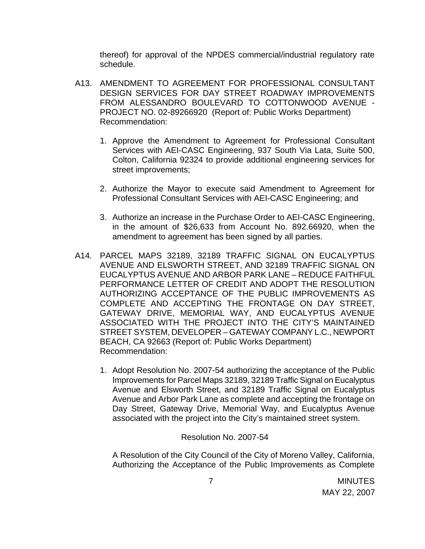thereof) for approval of the NPDES commercial/industrial regulatory rate schedule.

- A13. AMENDMENT TO AGREEMENT FOR PROFESSIONAL CONSULTANT DESIGN SERVICES FOR DAY STREET ROADWAY IMPROVEMENTS FROM ALESSANDRO BOULEVARD TO COTTONWOOD AVENUE - PROJECT NO. 02-89266920 (Report of: Public Works Department) Recommendation:
	- 1. Approve the Amendment to Agreement for Professional Consultant Services with AEI-CASC Engineering, 937 South Via Lata, Suite 500, Colton, California 92324 to provide additional engineering services for street improvements;
	- 2. Authorize the Mayor to execute said Amendment to Agreement for Professional Consultant Services with AEI-CASC Engineering; and
	- 3. Authorize an increase in the Purchase Order to AEI-CASC Engineering, in the amount of \$26,633 from Account No. 892.66920, when the amendment to agreement has been signed by all parties.
- A14. PARCEL MAPS 32189, 32189 TRAFFIC SIGNAL ON EUCALYPTUS AVENUE AND ELSWORTH STREET, AND 32189 TRAFFIC SIGNAL ON EUCALYPTUS AVENUE AND ARBOR PARK LANE – REDUCE FAITHFUL PERFORMANCE LETTER OF CREDIT AND ADOPT THE RESOLUTION AUTHORIZING ACCEPTANCE OF THE PUBLIC IMPROVEMENTS AS COMPLETE AND ACCEPTING THE FRONTAGE ON DAY STREET, GATEWAY DRIVE, MEMORIAL WAY, AND EUCALYPTUS AVENUE ASSOCIATED WITH THE PROJECT INTO THE CITY'S MAINTAINED STREET SYSTEM, DEVELOPER – GATEWAY COMPANY L.C., NEWPORT BEACH, CA 92663 (Report of: Public Works Department) Recommendation:
	- 1. Adopt Resolution No. 2007-54 authorizing the acceptance of the Public Improvements for Parcel Maps 32189, 32189 Traffic Signal on Eucalyptus Avenue and Elsworth Street, and 32189 Traffic Signal on Eucalyptus Avenue and Arbor Park Lane as complete and accepting the frontage on Day Street, Gateway Drive, Memorial Way, and Eucalyptus Avenue associated with the project into the City's maintained street system.

#### Resolution No. 2007-54

 A Resolution of the City Council of the City of Moreno Valley, California, Authorizing the Acceptance of the Public Improvements as Complete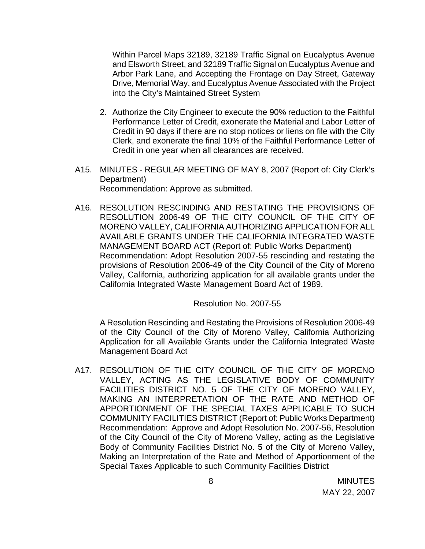Within Parcel Maps 32189, 32189 Traffic Signal on Eucalyptus Avenue and Elsworth Street, and 32189 Traffic Signal on Eucalyptus Avenue and Arbor Park Lane, and Accepting the Frontage on Day Street, Gateway Drive, Memorial Way, and Eucalyptus Avenue Associated with the Project into the City's Maintained Street System

- 2. Authorize the City Engineer to execute the 90% reduction to the Faithful Performance Letter of Credit, exonerate the Material and Labor Letter of Credit in 90 days if there are no stop notices or liens on file with the City Clerk, and exonerate the final 10% of the Faithful Performance Letter of Credit in one year when all clearances are received.
- A15. MINUTES REGULAR MEETING OF MAY 8, 2007 (Report of: City Clerk's Department) Recommendation: Approve as submitted.
- A16. RESOLUTION RESCINDING AND RESTATING THE PROVISIONS OF RESOLUTION 2006-49 OF THE CITY COUNCIL OF THE CITY OF MORENO VALLEY, CALIFORNIA AUTHORIZING APPLICATION FOR ALL AVAILABLE GRANTS UNDER THE CALIFORNIA INTEGRATED WASTE MANAGEMENT BOARD ACT (Report of: Public Works Department) Recommendation: Adopt Resolution 2007-55 rescinding and restating the provisions of Resolution 2006-49 of the City Council of the City of Moreno Valley, California, authorizing application for all available grants under the California Integrated Waste Management Board Act of 1989.

Resolution No. 2007-55

A Resolution Rescinding and Restating the Provisions of Resolution 2006-49 of the City Council of the City of Moreno Valley, California Authorizing Application for all Available Grants under the California Integrated Waste Management Board Act

A17. RESOLUTION OF THE CITY COUNCIL OF THE CITY OF MORENO VALLEY, ACTING AS THE LEGISLATIVE BODY OF COMMUNITY FACILITIES DISTRICT NO. 5 OF THE CITY OF MORENO VALLEY, MAKING AN INTERPRETATION OF THE RATE AND METHOD OF APPORTIONMENT OF THE SPECIAL TAXES APPLICABLE TO SUCH COMMUNITY FACILITIES DISTRICT (Report of: Public Works Department) Recommendation: Approve and Adopt Resolution No. 2007-56, Resolution of the City Council of the City of Moreno Valley, acting as the Legislative Body of Community Facilities District No. 5 of the City of Moreno Valley, Making an Interpretation of the Rate and Method of Apportionment of the Special Taxes Applicable to such Community Facilities District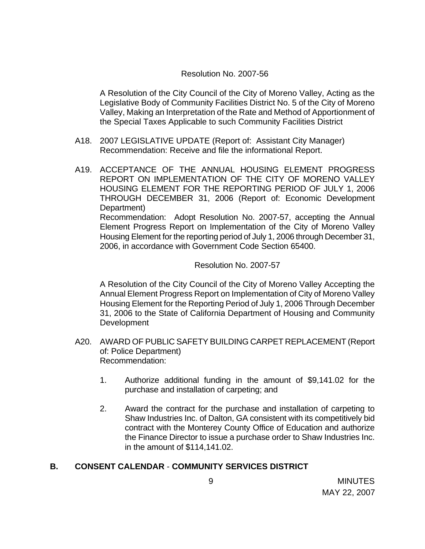#### Resolution No. 2007-56

A Resolution of the City Council of the City of Moreno Valley, Acting as the Legislative Body of Community Facilities District No. 5 of the City of Moreno Valley, Making an Interpretation of the Rate and Method of Apportionment of the Special Taxes Applicable to such Community Facilities District

- A18. 2007 LEGISLATIVE UPDATE (Report of: Assistant City Manager) Recommendation: Receive and file the informational Report.
- A19. ACCEPTANCE OF THE ANNUAL HOUSING ELEMENT PROGRESS REPORT ON IMPLEMENTATION OF THE CITY OF MORENO VALLEY HOUSING ELEMENT FOR THE REPORTING PERIOD OF JULY 1, 2006 THROUGH DECEMBER 31, 2006 (Report of: Economic Development Department) Recommendation: Adopt Resolution No. 2007-57, accepting the Annual Element Progress Report on Implementation of the City of Moreno Valley Housing Element for the reporting period of July 1, 2006 through December 31, 2006, in accordance with Government Code Section 65400.

#### Resolution No. 2007-57

A Resolution of the City Council of the City of Moreno Valley Accepting the Annual Element Progress Report on Implementation of City of Moreno Valley Housing Element for the Reporting Period of July 1, 2006 Through December 31, 2006 to the State of California Department of Housing and Community Development

- A20. AWARD OF PUBLIC SAFETY BUILDING CARPET REPLACEMENT (Report of: Police Department) Recommendation:
	- 1. Authorize additional funding in the amount of \$9,141.02 for the purchase and installation of carpeting; and
	- 2. Award the contract for the purchase and installation of carpeting to Shaw Industries Inc. of Dalton, GA consistent with its competitively bid contract with the Monterey County Office of Education and authorize the Finance Director to issue a purchase order to Shaw Industries Inc. in the amount of \$114,141.02.

### **B. CONSENT CALENDAR** - **COMMUNITY SERVICES DISTRICT**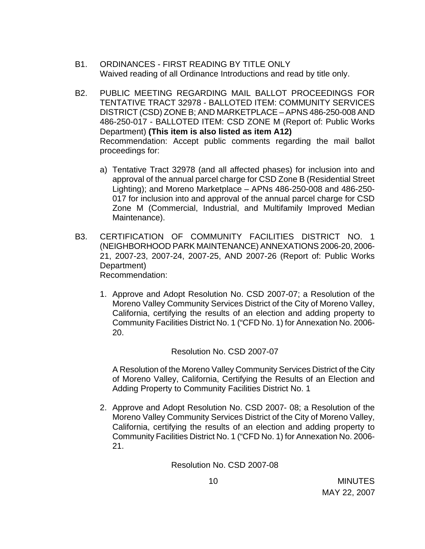- B1. ORDINANCES FIRST READING BY TITLE ONLY Waived reading of all Ordinance Introductions and read by title only.
- B2. PUBLIC MEETING REGARDING MAIL BALLOT PROCEEDINGS FOR TENTATIVE TRACT 32978 - BALLOTED ITEM: COMMUNITY SERVICES DISTRICT (CSD) ZONE B; AND MARKETPLACE – APNS 486-250-008 AND 486-250-017 - BALLOTED ITEM: CSD ZONE M (Report of: Public Works Department) **(This item is also listed as item A12)**  Recommendation: Accept public comments regarding the mail ballot proceedings for:
	- a) Tentative Tract 32978 (and all affected phases) for inclusion into and approval of the annual parcel charge for CSD Zone B (Residential Street Lighting); and Moreno Marketplace – APNs 486-250-008 and 486-250- 017 for inclusion into and approval of the annual parcel charge for CSD Zone M (Commercial, Industrial, and Multifamily Improved Median Maintenance).
- B3. CERTIFICATION OF COMMUNITY FACILITIES DISTRICT NO. 1 (NEIGHBORHOOD PARK MAINTENANCE) ANNEXATIONS 2006-20, 2006- 21, 2007-23, 2007-24, 2007-25, AND 2007-26 (Report of: Public Works Department) Recommendation:
	- 1. Approve and Adopt Resolution No. CSD 2007-07; a Resolution of the Moreno Valley Community Services District of the City of Moreno Valley, California, certifying the results of an election and adding property to Community Facilities District No. 1 ("CFD No. 1) for Annexation No. 2006- 20.

### Resolution No. CSD 2007-07

A Resolution of the Moreno Valley Community Services District of the City of Moreno Valley, California, Certifying the Results of an Election and Adding Property to Community Facilities District No. 1

2. Approve and Adopt Resolution No. CSD 2007- 08; a Resolution of the Moreno Valley Community Services District of the City of Moreno Valley, California, certifying the results of an election and adding property to Community Facilities District No. 1 ("CFD No. 1) for Annexation No. 2006- 21.

Resolution No. CSD 2007-08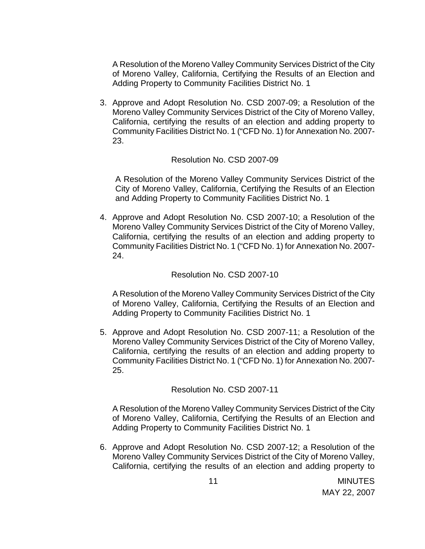A Resolution of the Moreno Valley Community Services District of the City of Moreno Valley, California, Certifying the Results of an Election and Adding Property to Community Facilities District No. 1

3. Approve and Adopt Resolution No. CSD 2007-09; a Resolution of the Moreno Valley Community Services District of the City of Moreno Valley, California, certifying the results of an election and adding property to Community Facilities District No. 1 ("CFD No. 1) for Annexation No. 2007- 23.

### Resolution No. CSD 2007-09

A Resolution of the Moreno Valley Community Services District of the City of Moreno Valley, California, Certifying the Results of an Election and Adding Property to Community Facilities District No. 1

4. Approve and Adopt Resolution No. CSD 2007-10; a Resolution of the Moreno Valley Community Services District of the City of Moreno Valley, California, certifying the results of an election and adding property to Community Facilities District No. 1 ("CFD No. 1) for Annexation No. 2007- 24.

#### Resolution No. CSD 2007-10

A Resolution of the Moreno Valley Community Services District of the City of Moreno Valley, California, Certifying the Results of an Election and Adding Property to Community Facilities District No. 1

5. Approve and Adopt Resolution No. CSD 2007-11; a Resolution of the Moreno Valley Community Services District of the City of Moreno Valley, California, certifying the results of an election and adding property to Community Facilities District No. 1 ("CFD No. 1) for Annexation No. 2007- 25.

#### Resolution No. CSD 2007-11

A Resolution of the Moreno Valley Community Services District of the City of Moreno Valley, California, Certifying the Results of an Election and Adding Property to Community Facilities District No. 1

6. Approve and Adopt Resolution No. CSD 2007-12; a Resolution of the Moreno Valley Community Services District of the City of Moreno Valley, California, certifying the results of an election and adding property to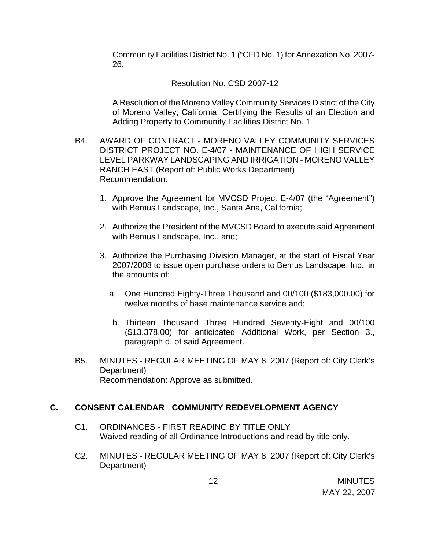Community Facilities District No. 1 ("CFD No. 1) for Annexation No. 2007- 26.

## Resolution No. CSD 2007-12

A Resolution of the Moreno Valley Community Services District of the City of Moreno Valley, California, Certifying the Results of an Election and Adding Property to Community Facilities District No. 1

- B4. AWARD OF CONTRACT MORENO VALLEY COMMUNITY SERVICES DISTRICT PROJECT NO. E-4/07 - MAINTENANCE OF HIGH SERVICE LEVEL PARKWAY LANDSCAPING AND IRRIGATION - MORENO VALLEY RANCH EAST (Report of: Public Works Department) Recommendation:
	- 1. Approve the Agreement for MVCSD Project E-4/07 (the "Agreement") with Bemus Landscape, Inc., Santa Ana, California;
	- 2. Authorize the President of the MVCSD Board to execute said Agreement with Bemus Landscape, Inc., and;
	- 3. Authorize the Purchasing Division Manager, at the start of Fiscal Year 2007/2008 to issue open purchase orders to Bemus Landscape, Inc., in the amounts of:
		- a. One Hundred Eighty-Three Thousand and 00/100 (\$183,000.00) for twelve months of base maintenance service and;
		- b. Thirteen Thousand Three Hundred Seventy-Eight and 00/100 (\$13,378.00) for anticipated Additional Work, per Section 3., paragraph d. of said Agreement.
- B5. MINUTES REGULAR MEETING OF MAY 8, 2007 (Report of: City Clerk's Department) Recommendation: Approve as submitted.

### **C. CONSENT CALENDAR** - **COMMUNITY REDEVELOPMENT AGENCY**

- C1. ORDINANCES FIRST READING BY TITLE ONLY Waived reading of all Ordinance Introductions and read by title only.
- C2. MINUTES REGULAR MEETING OF MAY 8, 2007 (Report of: City Clerk's Department)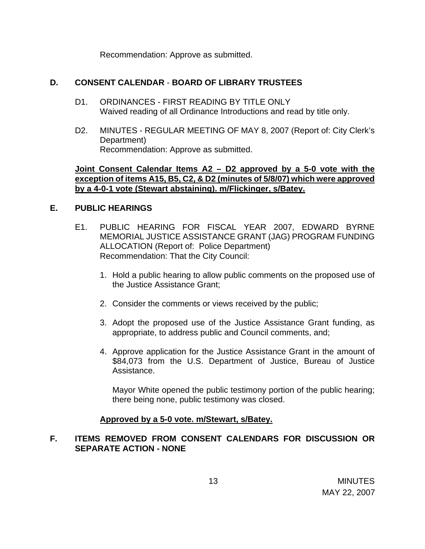Recommendation: Approve as submitted.

## **D. CONSENT CALENDAR** - **BOARD OF LIBRARY TRUSTEES**

- D1. ORDINANCES FIRST READING BY TITLE ONLY Waived reading of all Ordinance Introductions and read by title only.
- D2. MINUTES REGULAR MEETING OF MAY 8, 2007 (Report of: City Clerk's Department) Recommendation: Approve as submitted.

**Joint Consent Calendar Items A2 – D2 approved by a 5-0 vote with the exception of items A15, B5, C2, & D2 (minutes of 5/8/07) which were approved by a 4-0-1 vote (Stewart abstaining). m/Flickinger, s/Batey.**

#### **E. PUBLIC HEARINGS**

- E1. PUBLIC HEARING FOR FISCAL YEAR 2007, EDWARD BYRNE MEMORIAL JUSTICE ASSISTANCE GRANT (JAG) PROGRAM FUNDING ALLOCATION (Report of: Police Department) Recommendation: That the City Council:
	- 1. Hold a public hearing to allow public comments on the proposed use of the Justice Assistance Grant;
	- 2. Consider the comments or views received by the public;
	- 3. Adopt the proposed use of the Justice Assistance Grant funding, as appropriate, to address public and Council comments, and;
	- 4. Approve application for the Justice Assistance Grant in the amount of \$84,073 from the U.S. Department of Justice, Bureau of Justice Assistance.

Mayor White opened the public testimony portion of the public hearing; there being none, public testimony was closed.

### **Approved by a 5-0 vote. m/Stewart, s/Batey.**

## **F. ITEMS REMOVED FROM CONSENT CALENDARS FOR DISCUSSION OR SEPARATE ACTION - NONE**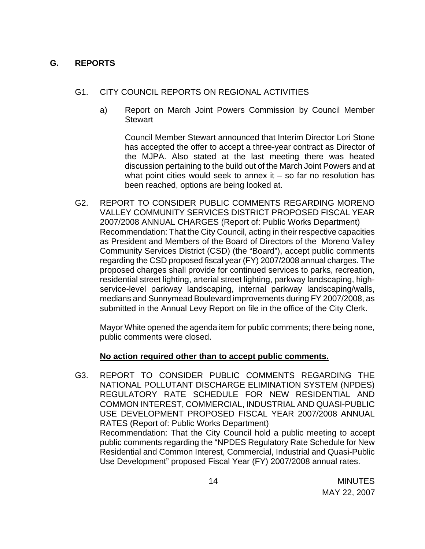## **G. REPORTS**

## G1. CITY COUNCIL REPORTS ON REGIONAL ACTIVITIES

a) Report on March Joint Powers Commission by Council Member **Stewart** 

 Council Member Stewart announced that Interim Director Lori Stone has accepted the offer to accept a three-year contract as Director of the MJPA. Also stated at the last meeting there was heated discussion pertaining to the build out of the March Joint Powers and at what point cities would seek to annex it  $-$  so far no resolution has been reached, options are being looked at.

 G2. REPORT TO CONSIDER PUBLIC COMMENTS REGARDING MORENO VALLEY COMMUNITY SERVICES DISTRICT PROPOSED FISCAL YEAR 2007/2008 ANNUAL CHARGES (Report of: Public Works Department) Recommendation: That the City Council, acting in their respective capacities as President and Members of the Board of Directors of the Moreno Valley Community Services District (CSD) (the "Board"), accept public comments regarding the CSD proposed fiscal year (FY) 2007/2008 annual charges. The proposed charges shall provide for continued services to parks, recreation, residential street lighting, arterial street lighting, parkway landscaping, highservice-level parkway landscaping, internal parkway landscaping/walls, medians and Sunnymead Boulevard improvements during FY 2007/2008, as submitted in the Annual Levy Report on file in the office of the City Clerk.

 Mayor White opened the agenda item for public comments; there being none, public comments were closed.

### **No action required other than to accept public comments.**

G3. REPORT TO CONSIDER PUBLIC COMMENTS REGARDING THE NATIONAL POLLUTANT DISCHARGE ELIMINATION SYSTEM (NPDES) REGULATORY RATE SCHEDULE FOR NEW RESIDENTIAL AND COMMON INTEREST, COMMERCIAL, INDUSTRIAL AND QUASI-PUBLIC USE DEVELOPMENT PROPOSED FISCAL YEAR 2007/2008 ANNUAL RATES (Report of: Public Works Department) Recommendation: That the City Council hold a public meeting to accept public comments regarding the "NPDES Regulatory Rate Schedule for New Residential and Common Interest, Commercial, Industrial and Quasi-Public Use Development" proposed Fiscal Year (FY) 2007/2008 annual rates.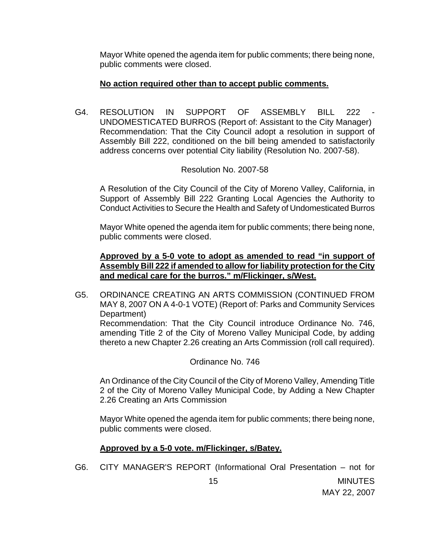Mayor White opened the agenda item for public comments; there being none, public comments were closed.

#### **No action required other than to accept public comments.**

G4. RESOLUTION IN SUPPORT OF ASSEMBLY BILL 222 UNDOMESTICATED BURROS (Report of: Assistant to the City Manager) Recommendation: That the City Council adopt a resolution in support of Assembly Bill 222, conditioned on the bill being amended to satisfactorily address concerns over potential City liability (Resolution No. 2007-58).

#### Resolution No. 2007-58

A Resolution of the City Council of the City of Moreno Valley, California, in Support of Assembly Bill 222 Granting Local Agencies the Authority to Conduct Activities to Secure the Health and Safety of Undomesticated Burros

 Mayor White opened the agenda item for public comments; there being none, public comments were closed.

### **Approved by a 5-0 vote to adopt as amended to read "in support of Assembly Bill 222 if amended to allow for liability protection for the City and medical care for the burros." m/Flickinger, s/West.**

G5. ORDINANCE CREATING AN ARTS COMMISSION (CONTINUED FROM MAY 8, 2007 ON A 4-0-1 VOTE) (Report of: Parks and Community Services Department) Recommendation: That the City Council introduce Ordinance No. 746, amending Title 2 of the City of Moreno Valley Municipal Code, by adding

thereto a new Chapter 2.26 creating an Arts Commission (roll call required).

Ordinance No. 746

An Ordinance of the City Council of the City of Moreno Valley, Amending Title 2 of the City of Moreno Valley Municipal Code, by Adding a New Chapter 2.26 Creating an Arts Commission

Mayor White opened the agenda item for public comments; there being none, public comments were closed.

### **Approved by a 5-0 vote. m/Flickinger, s/Batey.**

G6. CITY MANAGER'S REPORT (Informational Oral Presentation – not for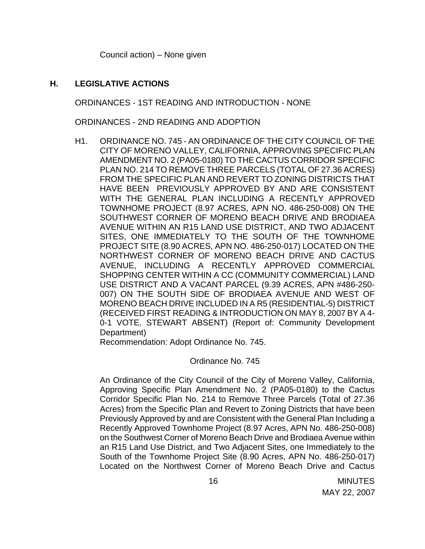Council action) – None given

## **H. LEGISLATIVE ACTIONS**

ORDINANCES - 1ST READING AND INTRODUCTION - NONE

ORDINANCES - 2ND READING AND ADOPTION

H1. ORDINANCE NO. 745 - AN ORDINANCE OF THE CITY COUNCIL OF THE CITY OF MORENO VALLEY, CALIFORNIA, APPROVING SPECIFIC PLAN AMENDMENT NO. 2 (PA05-0180) TO THE CACTUS CORRIDOR SPECIFIC PLAN NO. 214 TO REMOVE THREE PARCELS (TOTAL OF 27.36 ACRES) FROM THE SPECIFIC PLAN AND REVERT TO ZONING DISTRICTS THAT HAVE BEEN PREVIOUSLY APPROVED BY AND ARE CONSISTENT WITH THE GENERAL PLAN INCLUDING A RECENTLY APPROVED TOWNHOME PROJECT (8.97 ACRES, APN NO. 486-250-008) ON THE SOUTHWEST CORNER OF MORENO BEACH DRIVE AND BRODIAEA AVENUE WITHIN AN R15 LAND USE DISTRICT, AND TWO ADJACENT SITES, ONE IMMEDIATELY TO THE SOUTH OF THE TOWNHOME PROJECT SITE (8.90 ACRES, APN NO. 486-250-017) LOCATED ON THE NORTHWEST CORNER OF MORENO BEACH DRIVE AND CACTUS AVENUE, INCLUDING A RECENTLY APPROVED COMMERCIAL SHOPPING CENTER WITHIN A CC (COMMUNITY COMMERCIAL) LAND USE DISTRICT AND A VACANT PARCEL (9.39 ACRES, APN #486-250- 007) ON THE SOUTH SIDE OF BRODIAEA AVENUE AND WEST OF MORENO BEACH DRIVE INCLUDED IN A R5 (RESIDENTIAL-5) DISTRICT (RECEIVED FIRST READING & INTRODUCTION ON MAY 8, 2007 BY A 4- 0-1 VOTE, STEWART ABSENT) (Report of: Community Development Department)

Recommendation: Adopt Ordinance No. 745.

Ordinance No. 745

An Ordinance of the City Council of the City of Moreno Valley, California, Approving Specific Plan Amendment No. 2 (PA05-0180) to the Cactus Corridor Specific Plan No. 214 to Remove Three Parcels (Total of 27.36 Acres) from the Specific Plan and Revert to Zoning Districts that have been Previously Approved by and are Consistent with the General Plan Including a Recently Approved Townhome Project (8.97 Acres, APN No. 486-250-008) on the Southwest Corner of Moreno Beach Drive and Brodiaea Avenue within an R15 Land Use District, and Two Adjacent Sites, one Immediately to the South of the Townhome Project Site (8.90 Acres, APN No. 486-250-017) Located on the Northwest Corner of Moreno Beach Drive and Cactus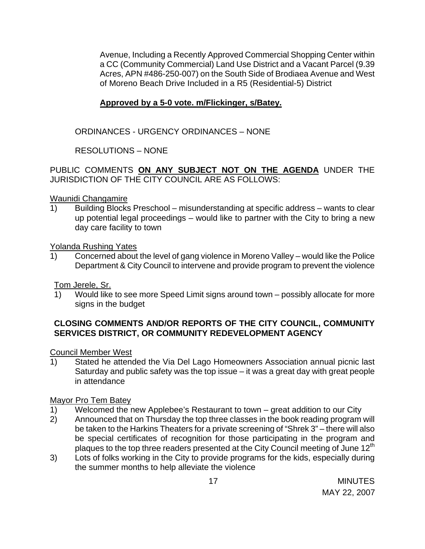Avenue, Including a Recently Approved Commercial Shopping Center within a CC (Community Commercial) Land Use District and a Vacant Parcel (9.39 Acres, APN #486-250-007) on the South Side of Brodiaea Avenue and West of Moreno Beach Drive Included in a R5 (Residential-5) District

# **Approved by a 5-0 vote. m/Flickinger, s/Batey.**

# ORDINANCES - URGENCY ORDINANCES – NONE

# RESOLUTIONS – NONE

PUBLIC COMMENTS **ON ANY SUBJECT NOT ON THE AGENDA** UNDER THE JURISDICTION OF THE CITY COUNCIL ARE AS FOLLOWS:

### Waunidi Changamire

1) Building Blocks Preschool – misunderstanding at specific address – wants to clear up potential legal proceedings – would like to partner with the City to bring a new day care facility to town

Yolanda Rushing Yates

1) Concerned about the level of gang violence in Moreno Valley – would like the Police Department & City Council to intervene and provide program to prevent the violence

Tom Jerele, Sr.

1) Would like to see more Speed Limit signs around town – possibly allocate for more signs in the budget

## **CLOSING COMMENTS AND/OR REPORTS OF THE CITY COUNCIL, COMMUNITY SERVICES DISTRICT, OR COMMUNITY REDEVELOPMENT AGENCY**

### Council Member West

1) Stated he attended the Via Del Lago Homeowners Association annual picnic last Saturday and public safety was the top issue – it was a great day with great people in attendance

### Mayor Pro Tem Batey

- 1) Welcomed the new Applebee's Restaurant to town great addition to our City
- 2) Announced that on Thursday the top three classes in the book reading program will be taken to the Harkins Theaters for a private screening of "Shrek 3" – there will also be special certificates of recognition for those participating in the program and plaques to the top three readers presented at the City Council meeting of June 12<sup>th</sup>
- 3) Lots of folks working in the City to provide programs for the kids, especially during the summer months to help alleviate the violence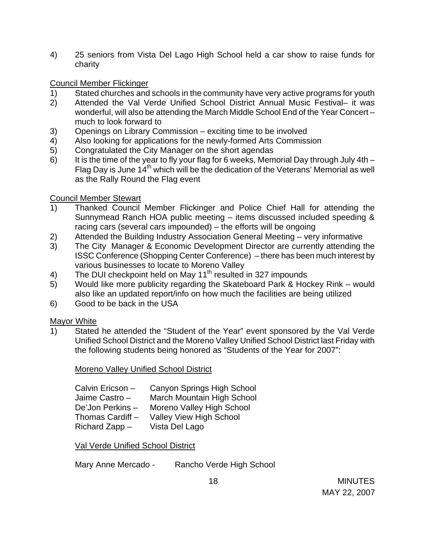4) 25 seniors from Vista Del Lago High School held a car show to raise funds for charity

## Council Member Flickinger

- 1) Stated churches and schools in the community have very active programs for youth
- 2) Attended the Val Verde Unified School District Annual Music Festival– it was wonderful, will also be attending the March Middle School End of the Year Concert – much to look forward to
- 3) Openings on Library Commission exciting time to be involved
- 4) Also looking for applications for the newly-formed Arts Commission
- 5) Congratulated the City Manager on the short agendas
- 6) It is the time of the year to fly your flag for 6 weeks, Memorial Day through July 4th Flag Day is June  $14<sup>th</sup>$  which will be the dedication of the Veterans' Memorial as well as the Rally Round the Flag event

## Council Member Stewart

- 1) Thanked Council Member Flickinger and Police Chief Hall for attending the Sunnymead Ranch HOA public meeting – items discussed included speeding & racing cars (several cars impounded) – the efforts will be ongoing
- 2) Attended the Building Industry Association General Meeting very informative
- 3) The City Manager & Economic Development Director are currently attending the ISSC Conference (Shopping Center Conference) – there has been much interest by various businesses to locate to Moreno Valley
- 4) The DUI checkpoint held on May 11<sup>th</sup> resulted in 327 impounds
- 5) Would like more publicity regarding the Skateboard Park & Hockey Rink would also like an updated report/info on how much the facilities are being utilized
- 6) Good to be back in the USA

### Mayor White

1) Stated he attended the "Student of the Year" event sponsored by the Val Verde Unified School District and the Moreno Valley Unified School District last Friday with the following students being honored as "Students of the Year for 2007":

### **Moreno Valley Unified School District**

| Calvin Ericson - | <b>Canyon Springs High School</b> |
|------------------|-----------------------------------|
| Jaime Castro -   | March Mountain High School        |
| De'Jon Perkins-  | Moreno Valley High School         |
| Thomas Cardiff - | <b>Valley View High School</b>    |
| Richard Zapp -   | Vista Del Lago                    |

Val Verde Unified School District

Mary Anne Mercado - Rancho Verde High School